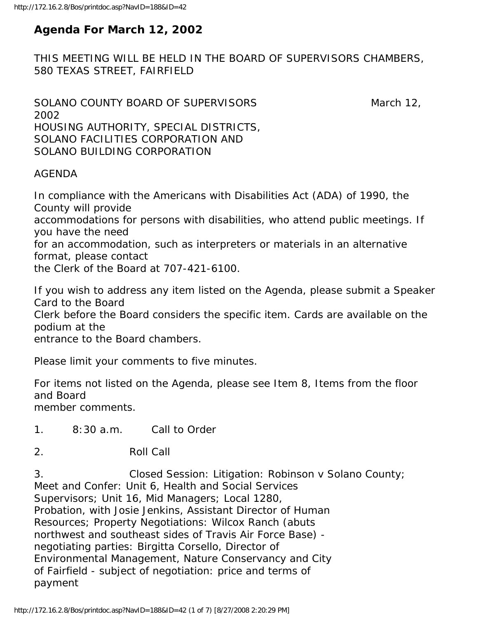# **Agenda For March 12, 2002**

THIS MEETING WILL BE HELD IN THE BOARD OF SUPERVISORS CHAMBERS, 580 TEXAS STREET, FAIRFIELD

SOLANO COUNTY BOARD OF SUPERVISORS March 12, 2002 HOUSING AUTHORITY, SPECIAL DISTRICTS, SOLANO FACILITIES CORPORATION AND SOLANO BUILDING CORPORATION

#### AGENDA

In compliance with the Americans with Disabilities Act (ADA) of 1990, the County will provide accommodations for persons with disabilities, who attend public meetings. If you have the need for an accommodation, such as interpreters or materials in an alternative format, please contact the Clerk of the Board at 707-421-6100.

If you wish to address any item listed on the Agenda, please submit a Speaker Card to the Board Clerk before the Board considers the specific item. Cards are available on the podium at the entrance to the Board chambers.

Please limit your comments to five minutes.

For items not listed on the Agenda, please see Item 8, Items from the floor and Board member comments.

1. 8:30 a.m. Call to Order

2. Roll Call

3. Closed Session: Litigation: Robinson v Solano County; Meet and Confer: Unit 6, Health and Social Services Supervisors; Unit 16, Mid Managers; Local 1280, Probation, with Josie Jenkins, Assistant Director of Human Resources; Property Negotiations: Wilcox Ranch (abuts northwest and southeast sides of Travis Air Force Base) negotiating parties: Birgitta Corsello, Director of Environmental Management, Nature Conservancy and City of Fairfield - subject of negotiation: price and terms of payment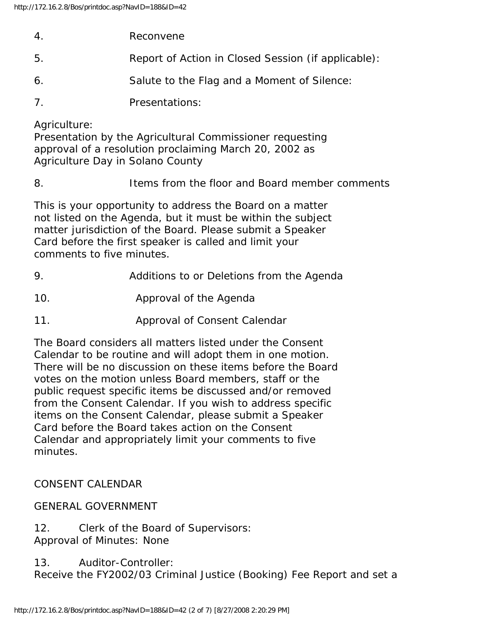| $\overline{4}$ | Reconvene |  |  |
|----------------|-----------|--|--|
|                |           |  |  |

- 5. Report of Action in Closed Session (if applicable):
- 6. Salute to the Flag and a Moment of Silence:
- 7. Presentations:

Agriculture:

Presentation by the Agricultural Commissioner requesting approval of a resolution proclaiming March 20, 2002 as Agriculture Day in Solano County

8. Items from the floor and Board member comments

This is your opportunity to address the Board on a matter not listed on the Agenda, but it must be within the subject matter jurisdiction of the Board. Please submit a Speaker Card before the first speaker is called and limit your comments to five minutes.

- 9. Additions to or Deletions from the Agenda
- 10. Approval of the Agenda
- 11. Approval of Consent Calendar

The Board considers all matters listed under the Consent Calendar to be routine and will adopt them in one motion. There will be no discussion on these items before the Board votes on the motion unless Board members, staff or the public request specific items be discussed and/or removed from the Consent Calendar. If you wish to address specific items on the Consent Calendar, please submit a Speaker Card before the Board takes action on the Consent Calendar and appropriately limit your comments to five minutes.

CONSENT CALENDAR

#### GENERAL GOVERNMENT

- 12. Clerk of the Board of Supervisors: Approval of Minutes: None
- 13. Auditor-Controller:

Receive the FY2002/03 Criminal Justice (Booking) Fee Report and set a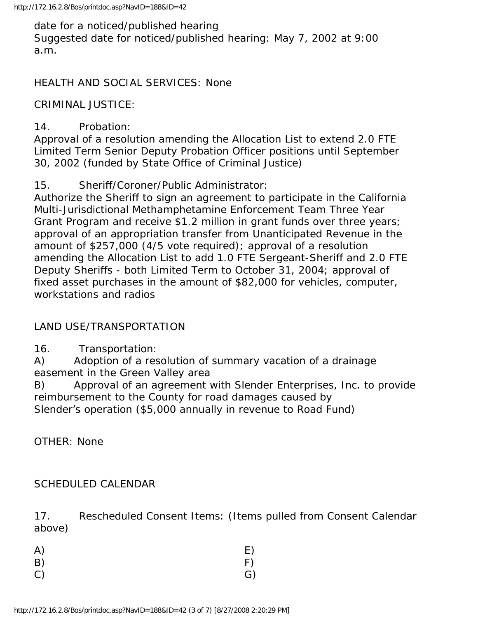date for a noticed/published hearing Suggested date for noticed/published hearing: May 7, 2002 at 9:00 a.m.

HEALTH AND SOCIAL SERVICES: None

CRIMINAL JUSTICE:

#### 14. Probation:

Approval of a resolution amending the Allocation List to extend 2.0 FTE Limited Term Senior Deputy Probation Officer positions until September 30, 2002 (funded by State Office of Criminal Justice)

15. Sheriff/Coroner/Public Administrator:

Authorize the Sheriff to sign an agreement to participate in the California Multi-Jurisdictional Methamphetamine Enforcement Team Three Year Grant Program and receive \$1.2 million in grant funds over three years; approval of an appropriation transfer from Unanticipated Revenue in the amount of \$257,000 (4/5 vote required); approval of a resolution amending the Allocation List to add 1.0 FTE Sergeant-Sheriff and 2.0 FTE Deputy Sheriffs - both Limited Term to October 31, 2004; approval of fixed asset purchases in the amount of \$82,000 for vehicles, computer, workstations and radios

# LAND USE/TRANSPORTATION

16. Transportation:

A) Adoption of a resolution of summary vacation of a drainage easement in the Green Valley area

B) Approval of an agreement with Slender Enterprises, Inc. to provide reimbursement to the County for road damages caused by Slender's operation (\$5,000 annually in revenue to Road Fund)

OTHER: None

#### SCHEDULED CALENDAR

17. Rescheduled Consent Items: (Items pulled from Consent Calendar above)

| A) | E) |
|----|----|
| B) | F) |
| C) | G) |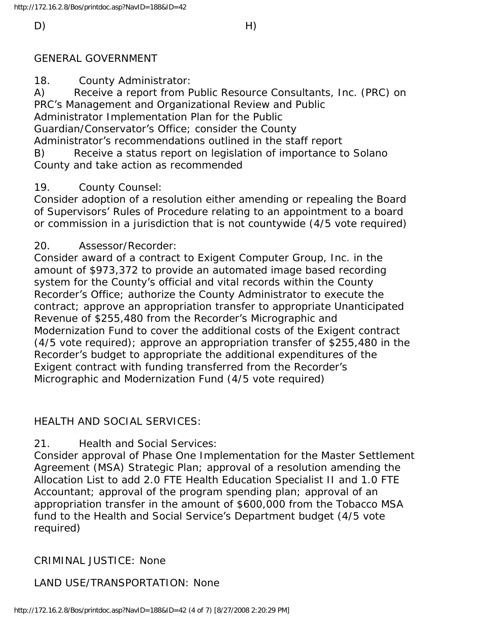#### GENERAL GOVERNMENT

18. County Administrator:

A) Receive a report from Public Resource Consultants, Inc. (PRC) on PRC's Management and Organizational Review and Public Administrator Implementation Plan for the Public Guardian/Conservator's Office; consider the County Administrator's recommendations outlined in the staff report B) Receive a status report on legislation of importance to Solano

County and take action as recommended

# 19. County Counsel:

Consider adoption of a resolution either amending or repealing the Board of Supervisors' Rules of Procedure relating to an appointment to a board or commission in a jurisdiction that is not countywide (4/5 vote required)

# 20. Assessor/Recorder:

Consider award of a contract to Exigent Computer Group, Inc. in the amount of \$973,372 to provide an automated image based recording system for the County's official and vital records within the County Recorder's Office; authorize the County Administrator to execute the contract; approve an appropriation transfer to appropriate Unanticipated Revenue of \$255,480 from the Recorder's Micrographic and Modernization Fund to cover the additional costs of the Exigent contract (4/5 vote required); approve an appropriation transfer of \$255,480 in the Recorder's budget to appropriate the additional expenditures of the Exigent contract with funding transferred from the Recorder's Micrographic and Modernization Fund (4/5 vote required)

# HEALTH AND SOCIAL SERVICES:

21. Health and Social Services:

Consider approval of Phase One Implementation for the Master Settlement Agreement (MSA) Strategic Plan; approval of a resolution amending the Allocation List to add 2.0 FTE Health Education Specialist II and 1.0 FTE Accountant; approval of the program spending plan; approval of an appropriation transfer in the amount of \$600,000 from the Tobacco MSA fund to the Health and Social Service's Department budget (4/5 vote required)

# CRIMINAL JUSTICE: None

LAND USE/TRANSPORTATION: None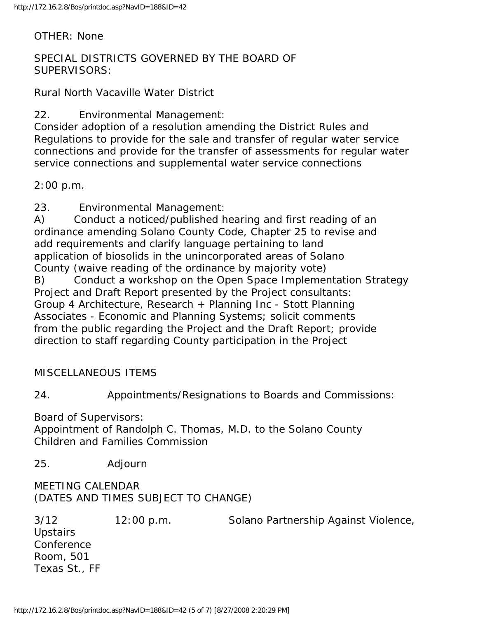OTHER: None

SPECIAL DISTRICTS GOVERNED BY THE BOARD OF SUPERVISORS:

Rural North Vacaville Water District

22. Environmental Management:

Consider adoption of a resolution amending the District Rules and Regulations to provide for the sale and transfer of regular water service connections and provide for the transfer of assessments for regular water service connections and supplemental water service connections

2:00 p.m.

23. Environmental Management:

A) Conduct a noticed/published hearing and first reading of an ordinance amending Solano County Code, Chapter 25 to revise and add requirements and clarify language pertaining to land application of biosolids in the unincorporated areas of Solano County (waive reading of the ordinance by majority vote) B) Conduct a workshop on the Open Space Implementation Strategy Project and Draft Report presented by the Project consultants: Group 4 Architecture, Research + Planning Inc - Stott Planning Associates - Economic and Planning Systems; solicit comments from the public regarding the Project and the Draft Report; provide direction to staff regarding County participation in the Project

MISCELLANEOUS ITEMS

24. Appointments/Resignations to Boards and Commissions:

Board of Supervisors:

Appointment of Randolph C. Thomas, M.D. to the Solano County Children and Families Commission

25. Adjourn

MEETING CALENDAR (DATES AND TIMES SUBJECT TO CHANGE)

3/12 12:00 p.m. Solano Partnership Against Violence, **Upstairs** Conference Room, 501 Texas St., FF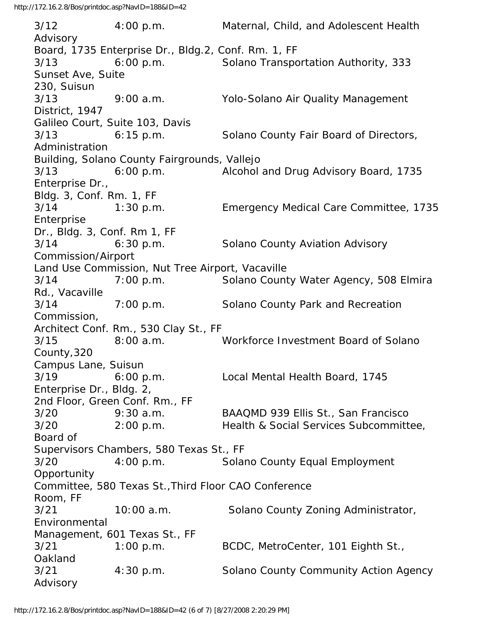3/12 4:00 p.m. Maternal, Child, and Adolescent Health Advisory Board, 1735 Enterprise Dr., Bldg.2, Conf. Rm. 1, FF 3/13 6:00 p.m. Solano Transportation Authority, 333 Sunset Ave, Suite 230, Suisun 3/13 9:00 a.m. Yolo-Solano Air Quality Management District, 1947 Galileo Court, Suite 103, Davis 3/13 6:15 p.m. Solano County Fair Board of Directors, Administration Building, Solano County Fairgrounds, Vallejo 3/13 6:00 p.m. Alcohol and Drug Advisory Board, 1735 Enterprise Dr., Bldg. 3, Conf. Rm. 1, FF 3/14 1:30 p.m. Emergency Medical Care Committee, 1735 Enterprise Dr., Bldg. 3, Conf. Rm 1, FF 3/14 6:30 p.m. Solano County Aviation Advisory Commission/Airport Land Use Commission, Nut Tree Airport, Vacaville 3/14 7:00 p.m. Solano County Water Agency, 508 Elmira Rd., Vacaville 3/14 7:00 p.m. Solano County Park and Recreation Commission, Architect Conf. Rm., 530 Clay St., FF 3/15 8:00 a.m. Workforce Investment Board of Solano County,320 Campus Lane, Suisun 3/19 6:00 p.m. Local Mental Health Board, 1745 Enterprise Dr., Bldg. 2, 2nd Floor, Green Conf. Rm., FF 3/20 9:30 a.m. BAAQMD 939 Ellis St., San Francisco 3/20 2:00 p.m. Health & Social Services Subcommittee, Board of Supervisors Chambers, 580 Texas St., FF 3/20 4:00 p.m. Solano County Equal Employment Opportunity Committee, 580 Texas St.,Third Floor CAO Conference Room, FF 3/21 10:00 a.m. Solano County Zoning Administrator, Environmental Management, 601 Texas St., FF 3/21 1:00 p.m. BCDC, MetroCenter, 101 Eighth St., **Oakland** 3/21 4:30 p.m. Solano County Community Action Agency Advisory